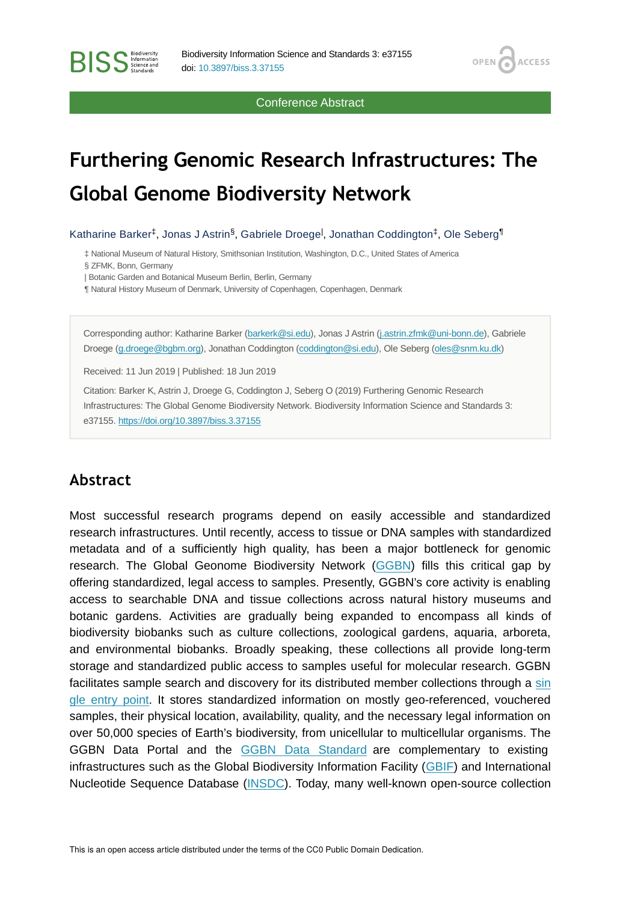Conference Abstract

**OPEN** 

**ACCESS** 

# **Furthering Genomic Research Infrastructures: The Global Genome Biodiversity Network**

Katharine Barker<sup>‡</sup>, Jonas J Astrin<sup>§</sup>, Gabriele Droege<sup>l</sup>, Jonathan Coddington<sup>‡</sup>, Ole Seberg<sup>¶</sup>

‡ National Museum of Natural History, Smithsonian Institution, Washington, D.C., United States of America

§ ZFMK, Bonn, Germany

**BISS** Steence and

| Botanic Garden and Botanical Museum Berlin, Berlin, Germany

¶ Natural History Museum of Denmark, University of Copenhagen, Copenhagen, Denmark

Corresponding author: Katharine Barker ([barkerk@si.edu](mailto:barkerk@si.edu)), Jonas J Astrin [\(j.astrin.zfmk@uni-bonn.de\)](mailto:j.astrin.zfmk@uni-bonn.de), Gabriele Droege [\(g.droege@bgbm.org](mailto:g.droege@bgbm.org)), Jonathan Coddington ([coddington@si.edu](mailto:coddington@si.edu)), Ole Seberg ([oles@snm.ku.dk\)](mailto:oles@snm.ku.dk)

Received: 11 Jun 2019 | Published: 18 Jun 2019

Citation: Barker K, Astrin J, Droege G, Coddington J, Seberg O (2019) Furthering Genomic Research Infrastructures: The Global Genome Biodiversity Network. Biodiversity Information Science and Standards 3: e37155.<https://doi.org/10.3897/biss.3.37155>

#### **Abstract**

Most successful research programs depend on easily accessible and standardized research infrastructures. Until recently, access to tissue or DNA samples with standardized metadata and of a sufficiently high quality, has been a major bottleneck for genomic research. The Global Geonome Biodiversity Network [\(GGBN\)](http://www.ggbn.org) fills this critical gap by offering standardized, legal access to samples. Presently, GGBN's core activity is enabling access to searchable DNA and tissue collections across natural history museums and botanic gardens. Activities are gradually being expanded to encompass all kinds of biodiversity biobanks such as culture collections, zoological gardens, aquaria, arboreta, and environmental biobanks. Broadly speaking, these collections all provide long-term storage and standardized public access to samples useful for molecular research. GGBN facilitates sample search and discovery for its distributed member collections through a [sin](http://www.ggbn.org/ggbn_portal) [gle entry point](http://www.ggbn.org/ggbn_portal). It stores standardized information on mostly geo-referenced, vouchered samples, their physical location, availability, quality, and the necessary legal information on over 50,000 species of Earth's biodiversity, from unicellular to multicellular organisms. The GGBN Data Portal and the [GGBN Data Standard](https://wiki.ggbn.org/ggbn/GGBN_Data_Standard) are complementary to existing infrastructures such as the Global Biodiversity Information Facility ([GBIF](https://gbif.org)) and International Nucleotide Sequence Database [\(INSDC](http://www.insdc.org/)). Today, many well-known open-source collection